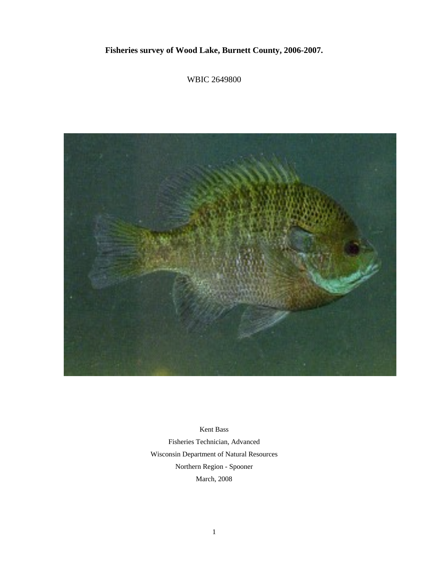# **Fisheries survey of Wood Lake, Burnett County, 2006-2007.**

WBIC 2649800



Kent Bass Fisheries Technician, Advanced Wisconsin Department of Natural Resources Northern Region - Spooner March, 2008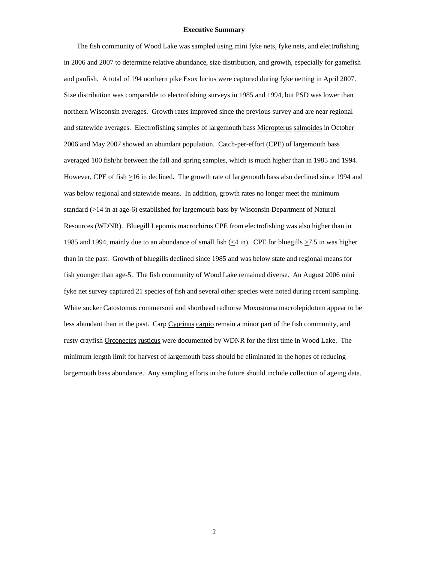# **Executive Summary**

 The fish community of Wood Lake was sampled using mini fyke nets, fyke nets, and electrofishing in 2006 and 2007 to determine relative abundance, size distribution, and growth, especially for gamefish and panfish. A total of 194 northern pike **Esox lucius** were captured during fyke netting in April 2007. Size distribution was comparable to electrofishing surveys in 1985 and 1994, but PSD was lower than northern Wisconsin averages. Growth rates improved since the previous survey and are near regional and statewide averages. Electrofishing samples of largemouth bass Micropterus salmoides in October 2006 and May 2007 showed an abundant population. Catch-per-effort (CPE) of largemouth bass averaged 100 fish/hr between the fall and spring samples, which is much higher than in 1985 and 1994. However, CPE of fish >16 in declined. The growth rate of largemouth bass also declined since 1994 and was below regional and statewide means. In addition, growth rates no longer meet the minimum standard (>14 in at age-6) established for largemouth bass by Wisconsin Department of Natural Resources (WDNR). Bluegill Lepomis macrochirus CPE from electrofishing was also higher than in 1985 and 1994, mainly due to an abundance of small fish  $(\leq 4 \text{ in})$ . CPE for bluegills  $\geq 7.5$  in was higher than in the past. Growth of bluegills declined since 1985 and was below state and regional means for fish younger than age-5. The fish community of Wood Lake remained diverse. An August 2006 mini fyke net survey captured 21 species of fish and several other species were noted during recent sampling. White sucker Catostomus commersoni and shorthead redhorse Moxostoma macrolepidotum appear to be less abundant than in the past. Carp Cyprinus carpio remain a minor part of the fish community, and rusty crayfish Orconectes rusticus were documented by WDNR for the first time in Wood Lake. The minimum length limit for harvest of largemouth bass should be eliminated in the hopes of reducing largemouth bass abundance. Any sampling efforts in the future should include collection of ageing data.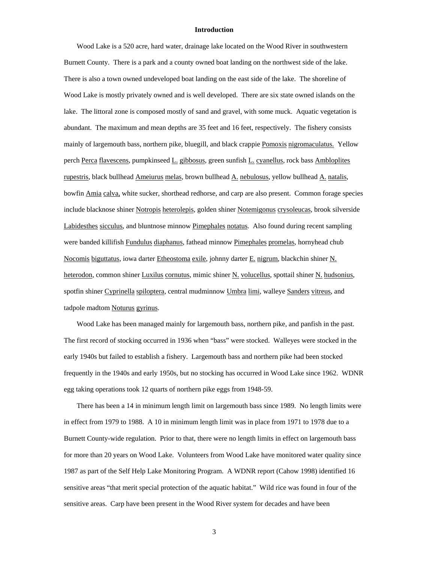# **Introduction**

 Wood Lake is a 520 acre, hard water, drainage lake located on the Wood River in southwestern Burnett County. There is a park and a county owned boat landing on the northwest side of the lake. There is also a town owned undeveloped boat landing on the east side of the lake. The shoreline of Wood Lake is mostly privately owned and is well developed. There are six state owned islands on the lake. The littoral zone is composed mostly of sand and gravel, with some muck. Aquatic vegetation is abundant. The maximum and mean depths are 35 feet and 16 feet, respectively. The fishery consists mainly of largemouth bass, northern pike, bluegill, and black crappie Pomoxis nigromaculatus. Yellow perch Perca flavescens, pumpkinseed L. gibbosus, green sunfish L. cyanellus, rock bass Ambloplites rupestris, black bullhead Ameiurus melas, brown bullhead A. nebulosus, yellow bullhead A. natalis, bowfin Amia calva, white sucker, shorthead redhorse, and carp are also present. Common forage species include blacknose shiner Notropis heterolepis, golden shiner Notemigonus crysoleucas, brook silverside Labidesthes sicculus, and bluntnose minnow Pimephales notatus. Also found during recent sampling were banded killifish Fundulus diaphanus, fathead minnow Pimephales promelas, hornyhead chub Nocomis biguttatus, iowa darter Etheostoma exile, johnny darter E. nigrum, blackchin shiner N. heterodon, common shiner Luxilus cornutus, mimic shiner N. volucellus, spottail shiner N. hudsonius, spotfin shiner Cyprinella spiloptera, central mudminnow Umbra limi, walleye Sanders vitreus, and tadpole madtom Noturus gyrinus.

 Wood Lake has been managed mainly for largemouth bass, northern pike, and panfish in the past. The first record of stocking occurred in 1936 when "bass" were stocked. Walleyes were stocked in the early 1940s but failed to establish a fishery. Largemouth bass and northern pike had been stocked frequently in the 1940s and early 1950s, but no stocking has occurred in Wood Lake since 1962. WDNR egg taking operations took 12 quarts of northern pike eggs from 1948-59.

 There has been a 14 in minimum length limit on largemouth bass since 1989. No length limits were in effect from 1979 to 1988. A 10 in minimum length limit was in place from 1971 to 1978 due to a Burnett County-wide regulation. Prior to that, there were no length limits in effect on largemouth bass for more than 20 years on Wood Lake. Volunteers from Wood Lake have monitored water quality since 1987 as part of the Self Help Lake Monitoring Program. A WDNR report (Cahow 1998) identified 16 sensitive areas "that merit special protection of the aquatic habitat." Wild rice was found in four of the sensitive areas. Carp have been present in the Wood River system for decades and have been

3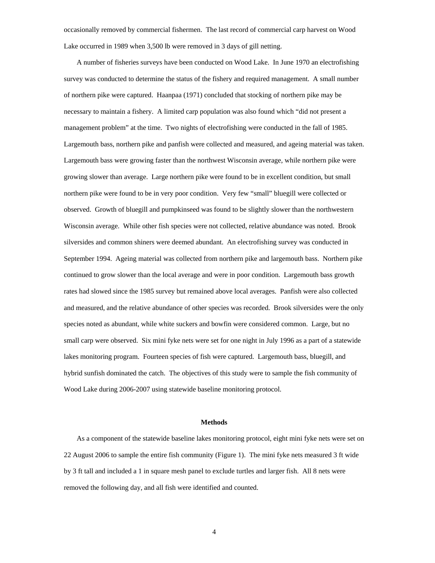occasionally removed by commercial fishermen. The last record of commercial carp harvest on Wood Lake occurred in 1989 when 3,500 lb were removed in 3 days of gill netting.

 A number of fisheries surveys have been conducted on Wood Lake. In June 1970 an electrofishing survey was conducted to determine the status of the fishery and required management. A small number of northern pike were captured. Haanpaa (1971) concluded that stocking of northern pike may be necessary to maintain a fishery. A limited carp population was also found which "did not present a management problem" at the time. Two nights of electrofishing were conducted in the fall of 1985. Largemouth bass, northern pike and panfish were collected and measured, and ageing material was taken. Largemouth bass were growing faster than the northwest Wisconsin average, while northern pike were growing slower than average. Large northern pike were found to be in excellent condition, but small northern pike were found to be in very poor condition. Very few "small" bluegill were collected or observed. Growth of bluegill and pumpkinseed was found to be slightly slower than the northwestern Wisconsin average. While other fish species were not collected, relative abundance was noted. Brook silversides and common shiners were deemed abundant. An electrofishing survey was conducted in September 1994. Ageing material was collected from northern pike and largemouth bass. Northern pike continued to grow slower than the local average and were in poor condition. Largemouth bass growth rates had slowed since the 1985 survey but remained above local averages. Panfish were also collected and measured, and the relative abundance of other species was recorded. Brook silversides were the only species noted as abundant, while white suckers and bowfin were considered common. Large, but no small carp were observed. Six mini fyke nets were set for one night in July 1996 as a part of a statewide lakes monitoring program. Fourteen species of fish were captured. Largemouth bass, bluegill, and hybrid sunfish dominated the catch. The objectives of this study were to sample the fish community of Wood Lake during 2006-2007 using statewide baseline monitoring protocol.

# **Methods**

As a component of the statewide baseline lakes monitoring protocol, eight mini fyke nets were set on 22 August 2006 to sample the entire fish community (Figure 1). The mini fyke nets measured 3 ft wide by 3 ft tall and included a 1 in square mesh panel to exclude turtles and larger fish. All 8 nets were removed the following day, and all fish were identified and counted.

4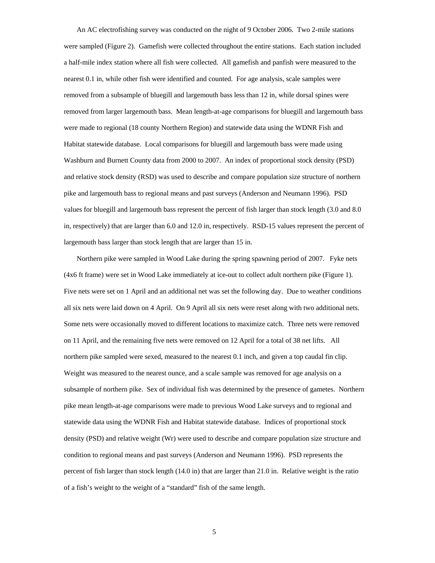An AC electrofishing survey was conducted on the night of 9 October 2006. Two 2-mile stations were sampled (Figure 2). Gamefish were collected throughout the entire stations. Each station included a half-mile index station where all fish were collected. All gamefish and panfish were measured to the nearest 0.1 in, while other fish were identified and counted. For age analysis, scale samples were removed from a subsample of bluegill and largemouth bass less than 12 in, while dorsal spines were removed from larger largemouth bass. Mean length-at-age comparisons for bluegill and largemouth bass were made to regional (18 county Northern Region) and statewide data using the WDNR Fish and Habitat statewide database. Local comparisons for bluegill and largemouth bass were made using Washburn and Burnett County data from 2000 to 2007. An index of proportional stock density (PSD) and relative stock density (RSD) was used to describe and compare population size structure of northern pike and largemouth bass to regional means and past surveys (Anderson and Neumann 1996). PSD values for bluegill and largemouth bass represent the percent of fish larger than stock length (3.0 and 8.0 in, respectively) that are larger than 6.0 and 12.0 in, respectively. RSD-15 values represent the percent of largemouth bass larger than stock length that are larger than 15 in.

Northern pike were sampled in Wood Lake during the spring spawning period of 2007. Fyke nets (4x6 ft frame) were set in Wood Lake immediately at ice-out to collect adult northern pike (Figure 1). Five nets were set on 1 April and an additional net was set the following day. Due to weather conditions all six nets were laid down on 4 April. On 9 April all six nets were reset along with two additional nets. Some nets were occasionally moved to different locations to maximize catch. Three nets were removed on 11 April, and the remaining five nets were removed on 12 April for a total of 38 net lifts. All northern pike sampled were sexed, measured to the nearest 0.1 inch, and given a top caudal fin clip. Weight was measured to the nearest ounce, and a scale sample was removed for age analysis on a subsample of northern pike. Sex of individual fish was determined by the presence of gametes. Northern pike mean length-at-age comparisons were made to previous Wood Lake surveys and to regional and statewide data using the WDNR Fish and Habitat statewide database. Indices of proportional stock density (PSD) and relative weight (Wr) were used to describe and compare population size structure and condition to regional means and past surveys (Anderson and Neumann 1996). PSD represents the percent of fish larger than stock length (14.0 in) that are larger than 21.0 in. Relative weight is the ratio of a fish's weight to the weight of a "standard" fish of the same length.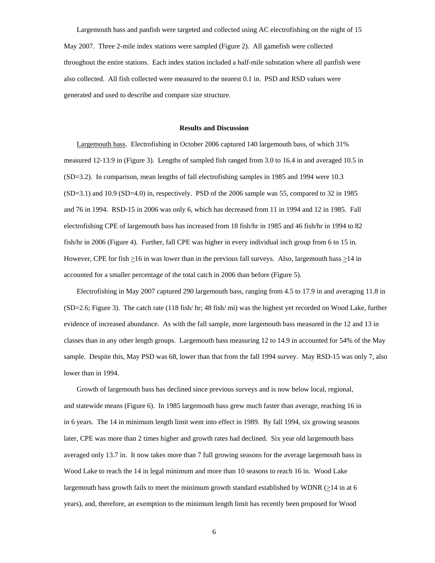Largemouth bass and panfish were targeted and collected using AC electrofishing on the night of 15 May 2007. Three 2-mile index stations were sampled (Figure 2). All gamefish were collected throughout the entire stations. Each index station included a half-mile substation where all panfish were also collected. All fish collected were measured to the nearest 0.1 in. PSD and RSD values were generated and used to describe and compare size structure.

#### **Results and Discussion**

 Largemouth bass. Electrofishing in October 2006 captured 140 largemouth bass, of which 31% measured 12-13.9 in (Figure 3). Lengths of sampled fish ranged from 3.0 to 16.4 in and averaged 10.5 in (SD=3.2). In comparison, mean lengths of fall electrofishing samples in 1985 and 1994 were 10.3 (SD=3.1) and 10.9 (SD=4.0) in, respectively. PSD of the 2006 sample was 55, compared to 32 in 1985 and 76 in 1994. RSD-15 in 2006 was only 6, which has decreased from 11 in 1994 and 12 in 1985. Fall electrofishing CPE of largemouth bass has increased from 18 fish/hr in 1985 and 46 fish/hr in 1994 to 82 fish/hr in 2006 (Figure 4). Further, fall CPE was higher in every individual inch group from 6 to 15 in. However, CPE for fish >16 in was lower than in the previous fall surveys. Also, largemouth bass >14 in accounted for a smaller percentage of the total catch in 2006 than before (Figure 5).

 Electrofishing in May 2007 captured 290 largemouth bass, ranging from 4.5 to 17.9 in and averaging 11.8 in (SD=2.6; Figure 3). The catch rate (118 fish/ hr; 48 fish/ mi) was the highest yet recorded on Wood Lake, further evidence of increased abundance. As with the fall sample, more largemouth bass measured in the 12 and 13 in classes than in any other length groups. Largemouth bass measuring 12 to 14.9 in accounted for 54% of the May sample. Despite this, May PSD was 68, lower than that from the fall 1994 survey. May RSD-15 was only 7, also lower than in 1994.

 Growth of largemouth bass has declined since previous surveys and is now below local, regional, and statewide means (Figure 6). In 1985 largemouth bass grew much faster than average, reaching 16 in in 6 years. The 14 in minimum length limit went into effect in 1989. By fall 1994, six growing seasons later, CPE was more than 2 times higher and growth rates had declined. Six year old largemouth bass averaged only 13.7 in. It now takes more than 7 full growing seasons for the average largemouth bass in Wood Lake to reach the 14 in legal minimum and more than 10 seasons to reach 16 in. Wood Lake largemouth bass growth fails to meet the minimum growth standard established by WDNR (>14 in at 6 years), and, therefore, an exemption to the minimum length limit has recently been proposed for Wood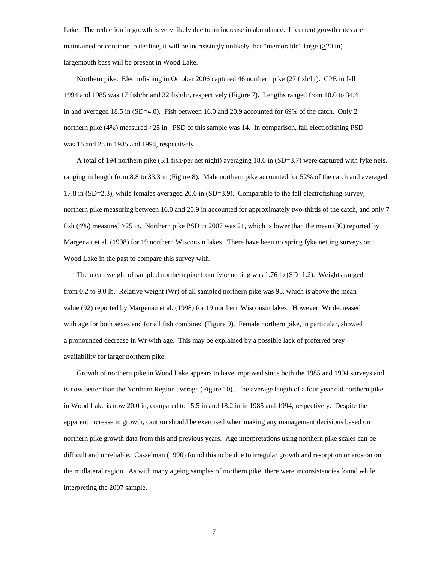Lake. The reduction in growth is very likely due to an increase in abundance. If current growth rates are maintained or continue to decline, it will be increasingly unlikely that "memorable" large (>20 in) largemouth bass will be present in Wood Lake.

 Northern pike. Electrofishing in October 2006 captured 46 northern pike (27 fish/hr). CPE in fall 1994 and 1985 was 17 fish/hr and 32 fish/hr, respectively (Figure 7). Lengths ranged from 10.0 to 34.4 in and averaged 18.5 in (SD=4.0). Fish between 16.0 and 20.9 accounted for 69% of the catch. Only 2 northern pike  $(4%)$  measured  $\geq$ 25 in. PSD of this sample was 14. In comparison, fall electrofishing PSD was 16 and 25 in 1985 and 1994, respectively.

 A total of 194 northern pike (5.1 fish/per net night) averaging 18.6 in (SD=3.7) were captured with fyke nets, ranging in length from 8.8 to 33.3 in (Figure 8). Male northern pike accounted for 52% of the catch and averaged 17.8 in (SD=2.3), while females averaged 20.6 in (SD=3.9). Comparable to the fall electrofishing survey, northern pike measuring between 16.0 and 20.9 in accounted for approximately two-thirds of the catch, and only 7 fish (4%) measured  $\geq$ 25 in. Northern pike PSD in 2007 was 21, which is lower than the mean (30) reported by Margenau et al. (1998) for 19 northern Wisconsin lakes. There have been no spring fyke netting surveys on Wood Lake in the past to compare this survey with.

The mean weight of sampled northern pike from fyke netting was 1.76 lb (SD=1.2). Weights ranged from 0.2 to 9.0 lb. Relative weight (Wr) of all sampled northern pike was 95, which is above the mean value (92) reported by Margenau et al. (1998) for 19 northern Wisconsin lakes. However, Wr decreased with age for both sexes and for all fish combined (Figure 9). Female northern pike, in particular, showed a pronounced decrease in Wr with age. This may be explained by a possible lack of preferred prey availability for larger northern pike.

 Growth of northern pike in Wood Lake appears to have improved since both the 1985 and 1994 surveys and is now better than the Northern Region average (Figure 10). The average length of a four year old northern pike in Wood Lake is now 20.0 in, compared to 15.5 in and 18.2 in in 1985 and 1994, respectively. Despite the apparent increase in growth, caution should be exercised when making any management decisions based on northern pike growth data from this and previous years. Age interpretations using northern pike scales can be difficult and unreliable. Casselman (1990) found this to be due to irregular growth and resorption or erosion on the midlateral region. As with many ageing samples of northern pike, there were inconsistencies found while interpreting the 2007 sample.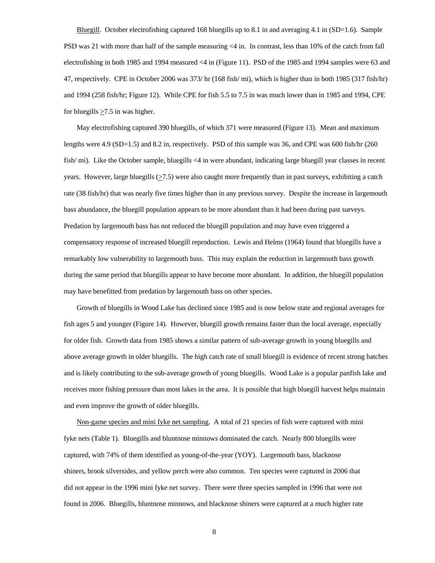Bluegill. October electrofishing captured 168 bluegills up to 8.1 in and averaging 4.1 in  $(SD=1.6)$ . Sample PSD was 21 with more than half of the sample measuring <4 in. In contrast, less than 10% of the catch from fall electrofishing in both 1985 and 1994 measured <4 in (Figure 11). PSD of the 1985 and 1994 samples were 63 and 47, respectively. CPE in October 2006 was 373/ hr (168 fish/ mi), which is higher than in both 1985 (317 fish/hr) and 1994 (258 fish/hr; Figure 12). While CPE for fish 5.5 to 7.5 in was much lower than in 1985 and 1994, CPE for bluegills  $>7.5$  in was higher.

 May electrofishing captured 390 bluegills, of which 371 were measured (Figure 13). Mean and maximum lengths were 4.9 (SD=1.5) and 8.2 in, respectively. PSD of this sample was 36, and CPE was 600 fish/hr (260 fish/ mi). Like the October sample, bluegills <4 in were abundant, indicating large bluegill year classes in recent years. However, large bluegills  $(≥7.5)$  were also caught more frequently than in past surveys, exhibiting a catch rate (38 fish/hr) that was nearly five times higher than in any previous survey. Despite the increase in largemouth bass abundance, the bluegill population appears to be more abundant than it had been during past surveys. Predation by largemouth bass has not reduced the bluegill population and may have even triggered a compensatory response of increased bluegill reproduction. Lewis and Helms (1964) found that bluegills have a remarkably low vulnerability to largemouth bass. This may explain the reduction in largemouth bass growth during the same period that bluegills appear to have become more abundant. In addition, the bluegill population may have benefitted from predation by largemouth bass on other species.

 Growth of bluegills in Wood Lake has declined since 1985 and is now below state and regional averages for fish ages 5 and younger (Figure 14). However, bluegill growth remains faster than the local average, especially for older fish. Growth data from 1985 shows a similar pattern of sub-average growth in young bluegills and above average growth in older bluegills. The high catch rate of small bluegill is evidence of recent strong hatches and is likely contributing to the sub-average growth of young bluegills. Wood Lake is a popular panfish lake and receives more fishing pressure than most lakes in the area. It is possible that high bluegill harvest helps maintain and even improve the growth of older bluegills.

Non-game species and mini fyke net sampling.A total of 21 species of fish were captured with mini fyke nets (Table 1). Bluegills and bluntnose minnows dominated the catch. Nearly 800 bluegills were captured, with 74% of them identified as young-of-the-year (YOY). Largemouth bass, blacknose shiners, brook silversides, and yellow perch were also common. Ten species were captured in 2006 that did not appear in the 1996 mini fyke net survey. There were three species sampled in 1996 that were not found in 2006. Bluegills, bluntnose minnows, and blacknose shiners were captured at a much higher rate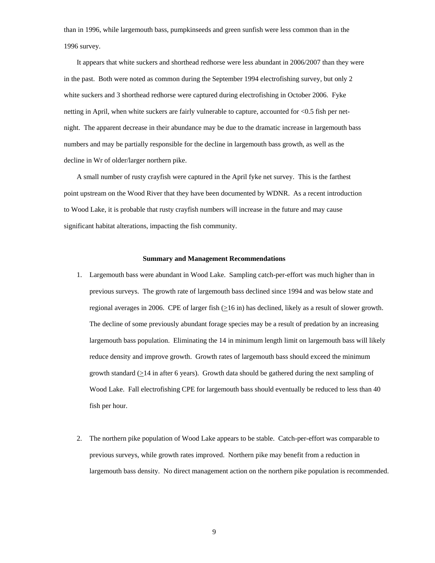than in 1996, while largemouth bass, pumpkinseeds and green sunfish were less common than in the 1996 survey.

 It appears that white suckers and shorthead redhorse were less abundant in 2006/2007 than they were in the past. Both were noted as common during the September 1994 electrofishing survey, but only 2 white suckers and 3 shorthead redhorse were captured during electrofishing in October 2006. Fyke netting in April, when white suckers are fairly vulnerable to capture, accounted for <0.5 fish per netnight. The apparent decrease in their abundance may be due to the dramatic increase in largemouth bass numbers and may be partially responsible for the decline in largemouth bass growth, as well as the decline in Wr of older/larger northern pike.

 A small number of rusty crayfish were captured in the April fyke net survey. This is the farthest point upstream on the Wood River that they have been documented by WDNR. As a recent introduction to Wood Lake, it is probable that rusty crayfish numbers will increase in the future and may cause significant habitat alterations, impacting the fish community.

### **Summary and Management Recommendations**

- 1. Largemouth bass were abundant in Wood Lake. Sampling catch-per-effort was much higher than in previous surveys. The growth rate of largemouth bass declined since 1994 and was below state and regional averages in 2006. CPE of larger fish (>16 in) has declined, likely as a result of slower growth. The decline of some previously abundant forage species may be a result of predation by an increasing largemouth bass population. Eliminating the 14 in minimum length limit on largemouth bass will likely reduce density and improve growth. Growth rates of largemouth bass should exceed the minimum growth standard (>14 in after 6 years). Growth data should be gathered during the next sampling of Wood Lake. Fall electrofishing CPE for largemouth bass should eventually be reduced to less than 40 fish per hour.
- 2. The northern pike population of Wood Lake appears to be stable. Catch-per-effort was comparable to previous surveys, while growth rates improved. Northern pike may benefit from a reduction in largemouth bass density. No direct management action on the northern pike population is recommended.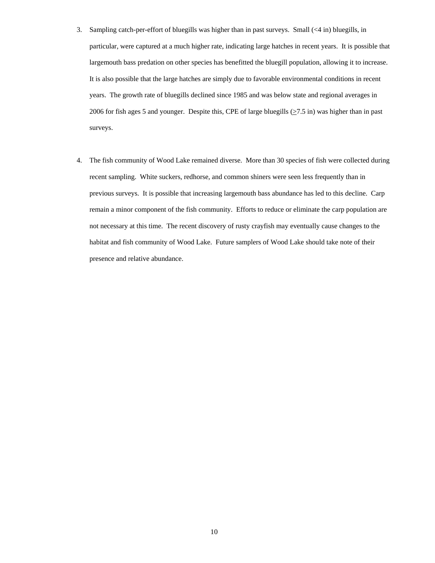- 3. Sampling catch-per-effort of bluegills was higher than in past surveys. Small (<4 in) bluegills, in particular, were captured at a much higher rate, indicating large hatches in recent years. It is possible that largemouth bass predation on other species has benefitted the bluegill population, allowing it to increase. It is also possible that the large hatches are simply due to favorable environmental conditions in recent years. The growth rate of bluegills declined since 1985 and was below state and regional averages in 2006 for fish ages 5 and younger. Despite this, CPE of large bluegills  $(27.5 \text{ in})$  was higher than in past surveys.
- 4. The fish community of Wood Lake remained diverse. More than 30 species of fish were collected during recent sampling. White suckers, redhorse, and common shiners were seen less frequently than in previous surveys. It is possible that increasing largemouth bass abundance has led to this decline. Carp remain a minor component of the fish community. Efforts to reduce or eliminate the carp population are not necessary at this time. The recent discovery of rusty crayfish may eventually cause changes to the habitat and fish community of Wood Lake. Future samplers of Wood Lake should take note of their presence and relative abundance.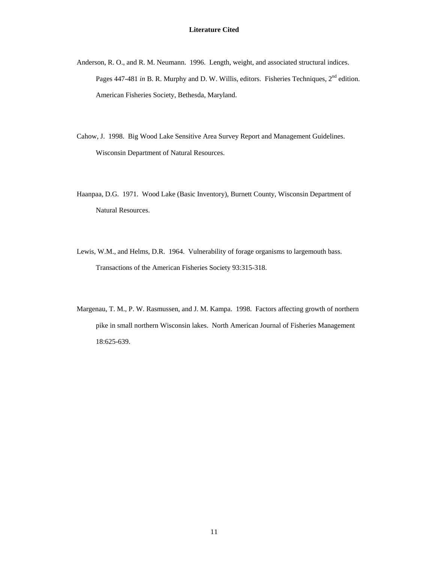- Anderson, R. O., and R. M. Neumann. 1996. Length, weight, and associated structural indices. Pages 447-481 *in* B. R. Murphy and D. W. Willis, editors. Fisheries Techniques, 2<sup>nd</sup> edition. American Fisheries Society, Bethesda, Maryland.
- Cahow, J. 1998. Big Wood Lake Sensitive Area Survey Report and Management Guidelines. Wisconsin Department of Natural Resources.
- Haanpaa, D.G. 1971. Wood Lake (Basic Inventory), Burnett County, Wisconsin Department of Natural Resources.
- Lewis, W.M., and Helms, D.R. 1964. Vulnerability of forage organisms to largemouth bass. Transactions of the American Fisheries Society 93:315-318.
- Margenau, T. M., P. W. Rasmussen, and J. M. Kampa. 1998. Factors affecting growth of northern pike in small northern Wisconsin lakes. North American Journal of Fisheries Management 18:625-639.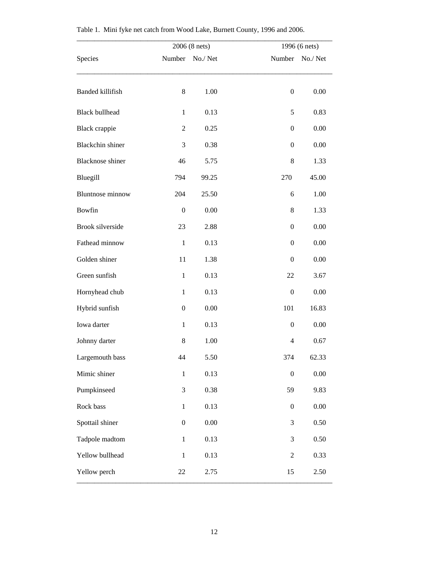|                         | 2006 (8 nets)    |          |                  | 1996 (6 nets)   |  |  |
|-------------------------|------------------|----------|------------------|-----------------|--|--|
| Species                 | Number           | No./Net  |                  | Number No./ Net |  |  |
| <b>Banded killifish</b> | 8                | 1.00     | $\boldsymbol{0}$ | 0.00            |  |  |
| <b>Black bullhead</b>   | $\mathbf{1}$     | 0.13     | 5                | 0.83            |  |  |
| <b>Black</b> crappie    | $\overline{2}$   | 0.25     | $\boldsymbol{0}$ | 0.00            |  |  |
| <b>Blackchin</b> shiner | 3                | 0.38     | $\boldsymbol{0}$ | 0.00            |  |  |
| <b>Blacknose</b> shiner | 46               | 5.75     | $\,8\,$          | 1.33            |  |  |
| Bluegill                | 794              | 99.25    | 270              | 45.00           |  |  |
| <b>Bluntnose</b> minnow | 204              | 25.50    | 6                | 1.00            |  |  |
| Bowfin                  | $\boldsymbol{0}$ | 0.00     | 8                | 1.33            |  |  |
| <b>Brook silverside</b> | 23               | 2.88     | $\boldsymbol{0}$ | 0.00            |  |  |
| Fathead minnow          | $\mathbf{1}$     | 0.13     | $\boldsymbol{0}$ | 0.00            |  |  |
| Golden shiner           | 11               | 1.38     | $\boldsymbol{0}$ | 0.00            |  |  |
| Green sunfish           | $\mathbf{1}$     | 0.13     | 22               | 3.67            |  |  |
| Hornyhead chub          | $\mathbf{1}$     | 0.13     | $\boldsymbol{0}$ | 0.00            |  |  |
| Hybrid sunfish          | $\boldsymbol{0}$ | 0.00     | 101              | 16.83           |  |  |
| Iowa darter             | $\mathbf{1}$     | 0.13     | $\boldsymbol{0}$ | 0.00            |  |  |
| Johnny darter           | 8                | 1.00     | $\overline{4}$   | 0.67            |  |  |
| Largemouth bass         | 44               | 5.50     | 374              | 62.33           |  |  |
| Mimic shiner            | $\,1\,$          | 0.13     | $\boldsymbol{0}$ | 0.00            |  |  |
| Pumpkinseed             | 3                | 0.38     | 59               | 9.83            |  |  |
| Rock bass               | $\mathbf{1}$     | 0.13     | $\boldsymbol{0}$ | $0.00\,$        |  |  |
| Spottail shiner         | $\boldsymbol{0}$ | $0.00\,$ | $\mathfrak{Z}$   | 0.50            |  |  |
| Tadpole madtom          | $\mathbf{1}$     | 0.13     | 3                | 0.50            |  |  |
| Yellow bullhead         | $\,1\,$          | 0.13     | $\sqrt{2}$       | 0.33            |  |  |
| Yellow perch            | 22               | 2.75     | 15               | 2.50            |  |  |

|  |  |  |  |  |  | Table 1. Mini fyke net catch from Wood Lake, Burnett County, 1996 and 2006. |
|--|--|--|--|--|--|-----------------------------------------------------------------------------|
|--|--|--|--|--|--|-----------------------------------------------------------------------------|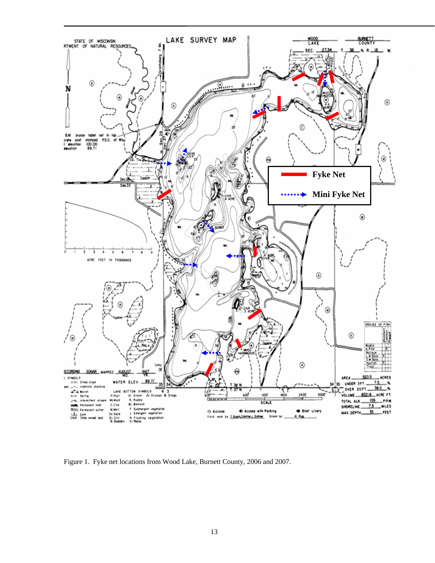

Figure 1. Fyke net locations from Wood Lake, Burnett County, 2006 and 2007.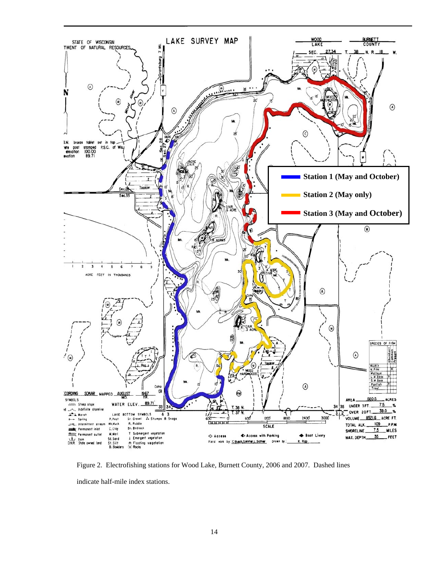

Figure 2. Electrofishing stations for Wood Lake, Burnett County, 2006 and 2007. Dashed lines indicate half-mile index stations.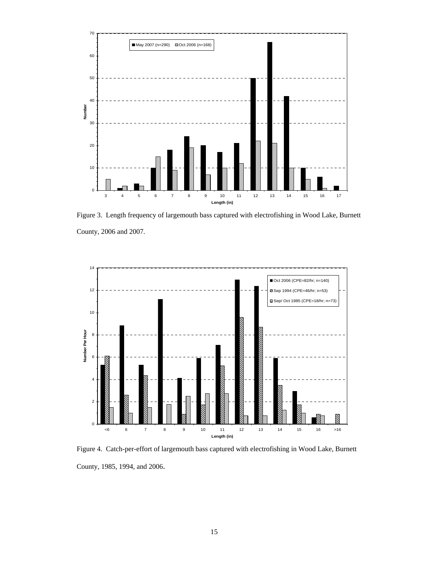

Figure 3. Length frequency of largemouth bass captured with electrofishing in Wood Lake, Burnett County, 2006 and 2007.



Figure 4. Catch-per-effort of largemouth bass captured with electrofishing in Wood Lake, Burnett County, 1985, 1994, and 2006.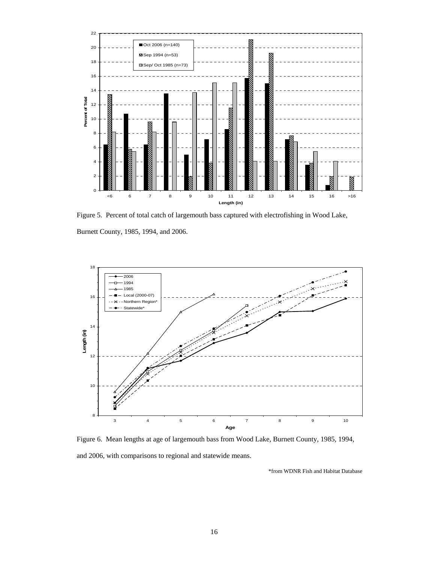

Figure 5. Percent of total catch of largemouth bass captured with electrofishing in Wood Lake, Burnett County, 1985, 1994, and 2006.



Figure 6. Mean lengths at age of largemouth bass from Wood Lake, Burnett County, 1985, 1994, and 2006, with comparisons to regional and statewide means.

\*from WDNR Fish and Habitat Database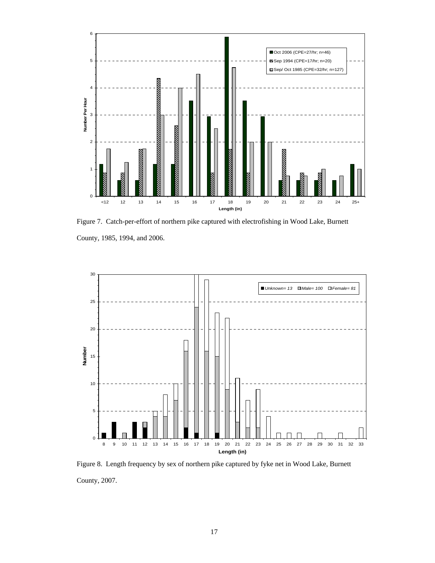

Figure 7. Catch-per-effort of northern pike captured with electrofishing in Wood Lake, Burnett County, 1985, 1994, and 2006.



Figure 8. Length frequency by sex of northern pike captured by fyke net in Wood Lake, Burnett County, 2007.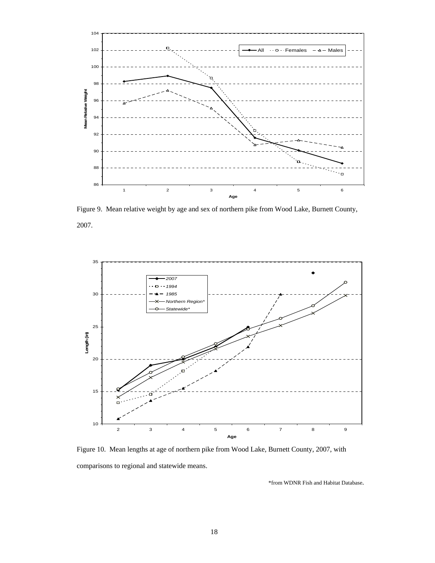

Figure 9. Mean relative weight by age and sex of northern pike from Wood Lake, Burnett County, 2007.



Figure 10. Mean lengths at age of northern pike from Wood Lake, Burnett County, 2007, with comparisons to regional and statewide means.

\*from WDNR Fish and Habitat Database.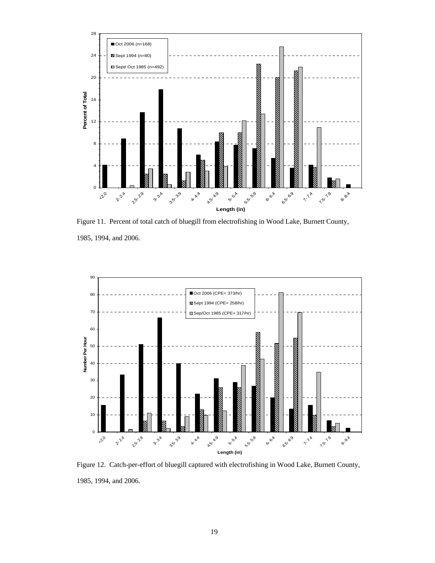

Figure 11. Percent of total catch of bluegill from electrofishing in Wood Lake, Burnett County, 1985, 1994, and 2006.



Figure 12. Catch-per-effort of bluegill captured with electrofishing in Wood Lake, Burnett County, 1985, 1994, and 2006.